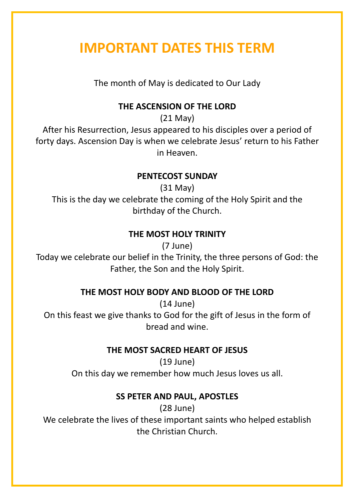# **IMPORTANT DATES THIS TERM**

The month of May is dedicated to Our Lady

## **THE ASCENSION OF THE LORD**

(21 May)

After his Resurrection, Jesus appeared to his disciples over a period of forty days. Ascension Day is when we celebrate Jesus' return to his Father in Heaven.

### **PENTECOST SUNDAY**

(31 May) This is the day we celebrate the coming of the Holy Spirit and the birthday of the Church.

# **THE MOST HOLY TRINITY**

(7 June)

Today we celebrate our belief in the Trinity, the three persons of God: the Father, the Son and the Holy Spirit.

# **THE MOST HOLY BODY AND BLOOD OF THE LORD**

(14 June) On this feast we give thanks to God for the gift of Jesus in the form of bread and wine.

# **THE MOST SACRED HEART OF JESUS**

(19 June) On this day we remember how much Jesus loves us all.

# **SS PETER AND PAUL, APOSTLES**

(28 June) We celebrate the lives of these important saints who helped establish the Christian Church.